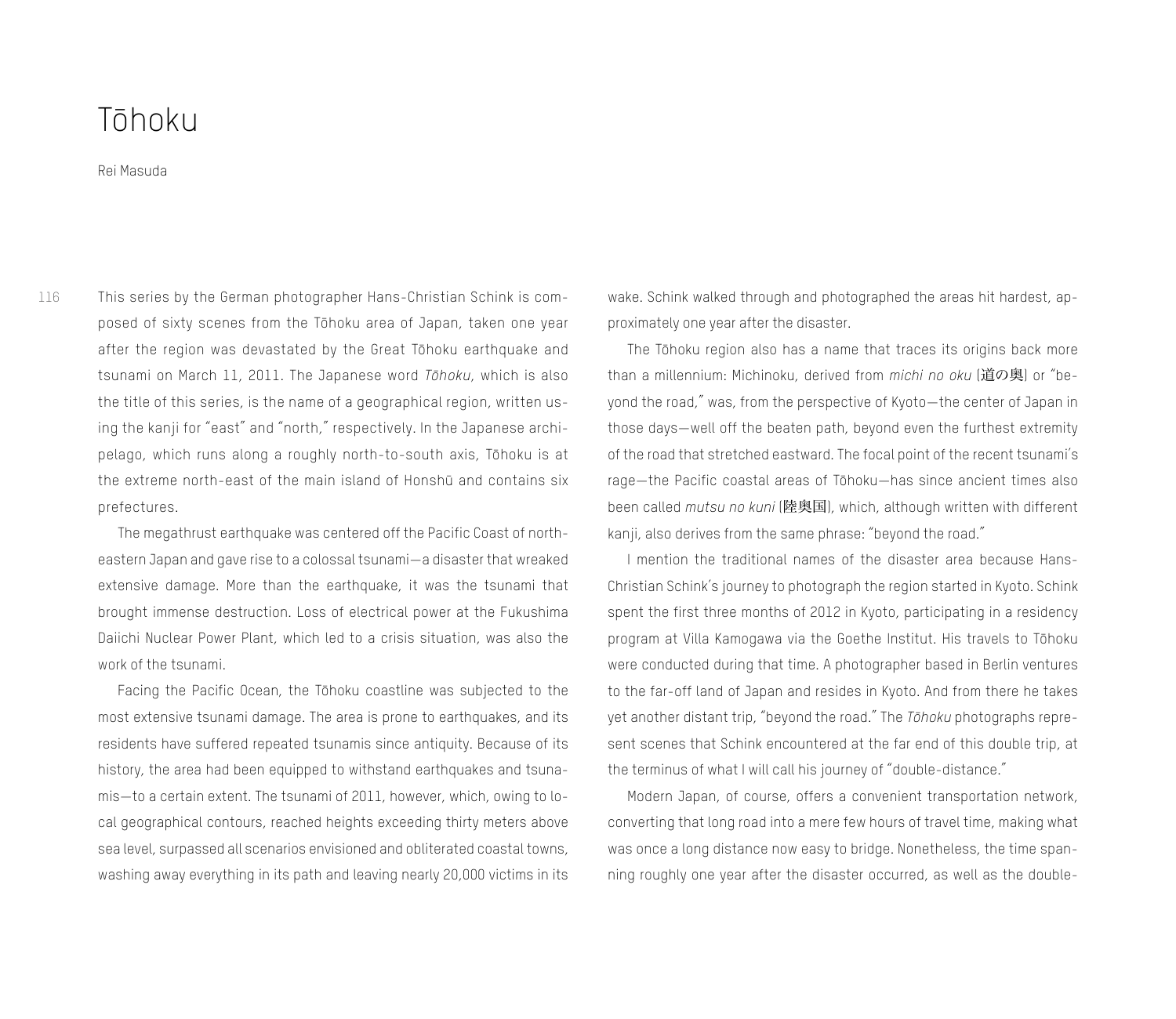## Tōhoku

## Rei Masuda

116 This series by the German photographer Hans-Christian Schink is composed of sixty scenes from the Tōhoku area of Japan, taken one year after the region was devastated by the Great Tōhoku earthquake and tsunami on March 11, 2011. The Japanese word *Tōhoku*, which is also the title of this series, is the name of a geographical region, written using the kanji for "east" and "north," respectively. In the Japanese archipelago, which runs along a roughly north-to-south axis, Tōhoku is at the extreme north-east of the main island of Honshū and contains six prefectures.

> The megathrust earthquake was centered off the Pacific Coast of northeastern Japan and gave rise to a colossal tsunami—a disaster that wreaked extensive damage. More than the earthquake, it was the tsunami that brought immense destruction. Loss of electrical power at the Fukushima Daiichi Nuclear Power Plant, which led to a crisis situation, was also the work of the tsunami.

> Facing the Pacific Ocean, the Tōhoku coastline was subjected to the most extensive tsunami damage. The area is prone to earthquakes, and its residents have suffered repeated tsunamis since antiquity. Because of its history, the area had been equipped to withstand earthquakes and tsunamis—to a certain extent. The tsunami of 2011, however, which, owing to local geographical contours, reached heights exceeding thirty meters above sea level, surpassed all scenarios envisioned and obliterated coastal towns, washing away everything in its path and leaving nearly 20,000 victims in its

wake. Schink walked through and photographed the areas hit hardest, approximately one year after the disaster.

The Tōhoku region also has a name that traces its origins back more than a millennium: Michinoku, derived from *michi no oku* (道の奥) or "beyond the road," was, from the perspective of Kyoto—the center of Japan in those days—well off the beaten path, beyond even the furthest extremity of the road that stretched eastward. The focal point of the recent tsunami's rage—the Pacific coastal areas of Tōhoku—has since ancient times also been called *mutsu no kuni* (陸奥国), which, although written with different kanji, also derives from the same phrase: "beyond the road."

I mention the traditional names of the disaster area because Hans-Christian Schink's journey to photograph the region started in Kyoto. Schink spent the first three months of 2012 in Kyoto, participating in a residency program at Villa Kamogawa via the Goethe Institut. His travels to Tōhoku were conducted during that time. A photographer based in Berlin ventures to the far-off land of Japan and resides in Kyoto. And from there he takes yet another distant trip, "beyond the road." The *Tōhoku* photographs represent scenes that Schink encountered at the far end of this double trip, at the terminus of what I will call his journey of "double-distance."

Modern Japan, of course, offers a convenient transportation network, converting that long road into a mere few hours of travel time, making what was once a long distance now easy to bridge. Nonetheless, the time spanning roughly one year after the disaster occurred, as well as the double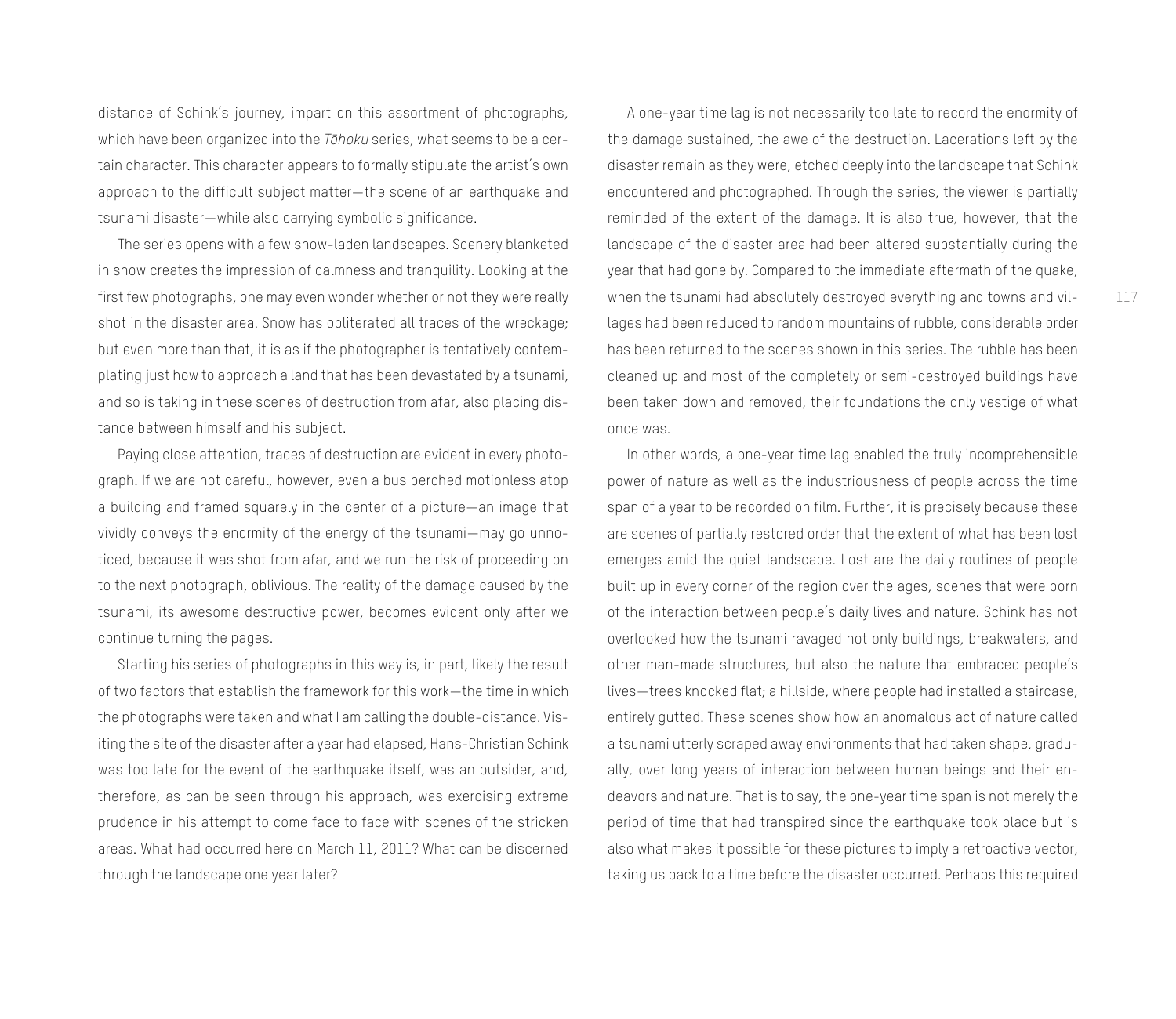distance of Schink's journey, impart on this assortment of photographs, which have been organized into the *Tōhoku* series, what seems to be a certain character. This character appears to formally stipulate the artist's own approach to the difficult subject matter—the scene of an earthquake and tsunami disaster—while also carrying symbolic significance.

The series opens with a few snow-laden landscapes. Scenery blanketed in snow creates the impression of calmness and tranquility. Looking at the first few photographs, one may even wonder whether or not they were really shot in the disaster area. Snow has obliterated all traces of the wreckage; but even more than that, it is as if the photographer is tentatively contemplating just how to approach a land that has been devastated by a tsunami, and so is taking in these scenes of destruction from afar, also placing distance between himself and his subject.

Paying close attention, traces of destruction are evident in every photograph. If we are not careful, however, even a bus perched motionless atop a building and framed squarely in the center of a picture—an image that vividly conveys the enormity of the energy of the tsunami—may go unnoticed, because it was shot from afar, and we run the risk of proceeding on to the next photograph, oblivious. The reality of the damage caused by the tsunami, its awesome destructive power, becomes evident only after we continue turning the pages.

Starting his series of photographs in this way is, in part, likely the result of two factors that establish the framework for this work—the time in which the photographs were taken and what I am calling the double-distance. Visiting the site of the disaster after a year had elapsed, Hans-Christian Schink was too late for the event of the earthquake itself, was an outsider, and, therefore, as can be seen through his approach, was exercising extreme prudence in his attempt to come face to face with scenes of the stricken areas. What had occurred here on March 11, 2011? What can be discerned through the landscape one year later?

A one-year time lag is not necessarily too late to record the enormity of the damage sustained, the awe of the destruction. Lacerations left by the disaster remain as they were, etched deeply into the landscape that Schink encountered and photographed. Through the series, the viewer is partially reminded of the extent of the damage. It is also true, however, that the landscape of the disaster area had been altered substantially during the year that had gone by. Compared to the immediate aftermath of the quake, when the tsunami had absolutely destroyed everything and towns and villages had been reduced to random mountains of rubble, considerable order has been returned to the scenes shown in this series. The rubble has been cleaned up and most of the completely or semi-destroyed buildings have been taken down and removed, their foundations the only vestige of what once was.

In other words, a one-year time lag enabled the truly incomprehensible power of nature as well as the industriousness of people across the time span of a year to be recorded on film. Further, it is precisely because these are scenes of partially restored order that the extent of what has been lost emerges amid the quiet landscape. Lost are the daily routines of people built up in every corner of the region over the ages, scenes that were born of the interaction between people's daily lives and nature. Schink has not overlooked how the tsunami ravaged not only buildings, breakwaters, and other man-made structures, but also the nature that embraced people's lives—trees knocked flat; a hillside, where people had installed a staircase, entirely gutted. These scenes show how an anomalous act of nature called a tsunami utterly scraped away environments that had taken shape, gradually, over long years of interaction between human beings and their endeavors and nature. That is to say, the one-year time span is not merely the period of time that had transpired since the earthquake took place but is also what makes it possible for these pictures to imply a retroactive vector, taking us back to a time before the disaster occurred. Perhaps this required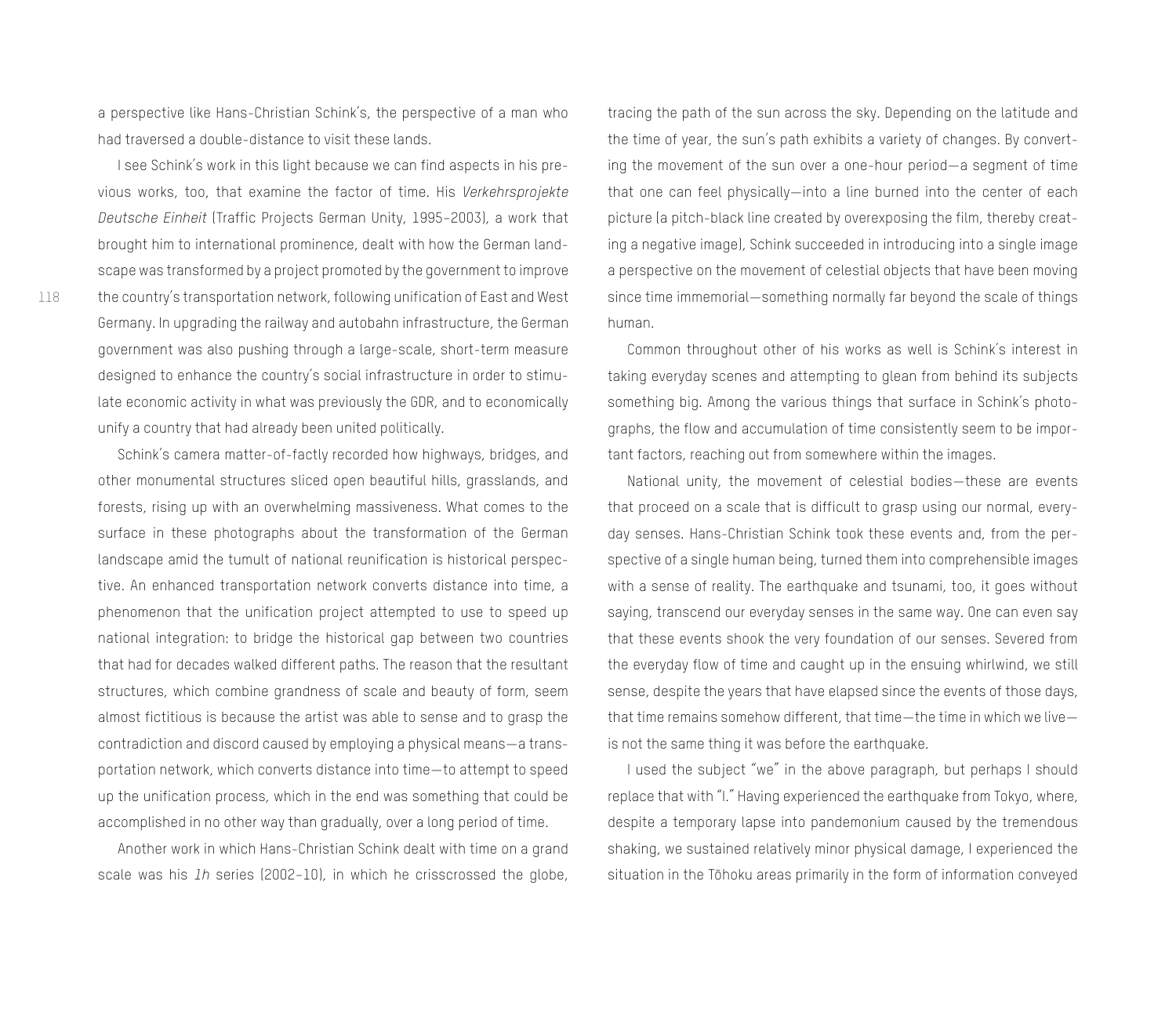a perspective like Hans-Christian Schink's, the perspective of a man who had traversed a double-distance to visit these lands.

I see Schink's work in this light because we can find aspects in his previous works, too, that examine the factor of time. His *Verkehrsprojekte Deutsche Einheit* (Traffic Projects German Unity, 1995–2003), a work that brought him to international prominence, dealt with how the German landscape was transformed by a project promoted by the government to improve the country's transportation network, following unification of East and West Germany. In upgrading the railway and autobahn infrastructure, the German government was also pushing through a large-scale, short-term measure designed to enhance the country's social infrastructure in order to stimulate economic activity in what was previously the GDR, and to economically unify a country that had already been united politically.

Schink's camera matter-of-factly recorded how highways, bridges, and other monumental structures sliced open beautiful hills, grasslands, and forests, rising up with an overwhelming massiveness. What comes to the surface in these photographs about the transformation of the German landscape amid the tumult of national reunification is historical perspective. An enhanced transportation network converts distance into time, a phenomenon that the unification project attempted to use to speed up national integration: to bridge the historical gap between two countries that had for decades walked different paths. The reason that the resultant structures, which combine grandness of scale and beauty of form, seem almost fictitious is because the artist was able to sense and to grasp the contradiction and discord caused by employing a physical means—a transportation network, which converts distance into time—to attempt to speed up the unification process, which in the end was something that could be accomplished in no other way than gradually, over a long period of time.

Another work in which Hans-Christian Schink dealt with time on a grand scale was his *1h* series (2002–10), in which he crisscrossed the globe, tracing the path of the sun across the sky. Depending on the latitude and the time of year, the sun's path exhibits a variety of changes. By converting the movement of the sun over a one-hour period—a segment of time that one can feel physically—into a line burned into the center of each picture (a pitch-black line created by overexposing the film, thereby creating a negative image), Schink succeeded in introducing into a single image a perspective on the movement of celestial objects that have been moving since time immemorial—something normally far beyond the scale of things human.

Common throughout other of his works as well is Schink's interest in taking everyday scenes and attempting to glean from behind its subjects something big. Among the various things that surface in Schink's photographs, the flow and accumulation of time consistently seem to be important factors, reaching out from somewhere within the images.

National unity, the movement of celestial bodies—these are events that proceed on a scale that is difficult to grasp using our normal, everyday senses. Hans-Christian Schink took these events and, from the perspective of a single human being, turned them into comprehensible images with a sense of reality. The earthquake and tsunami, too, it goes without saying, transcend our everyday senses in the same way. One can even say that these events shook the very foundation of our senses. Severed from the everyday flow of time and caught up in the ensuing whirlwind, we still sense, despite the years that have elapsed since the events of those days, that time remains somehow different, that time—the time in which we live is not the same thing it was before the earthquake.

I used the subject "we" in the above paragraph, but perhaps I should replace that with "I." Having experienced the earthquake from Tokyo, where, despite a temporary lapse into pandemonium caused by the tremendous shaking, we sustained relatively minor physical damage, I experienced the situation in the Tōhoku areas primarily in the form of information conveyed